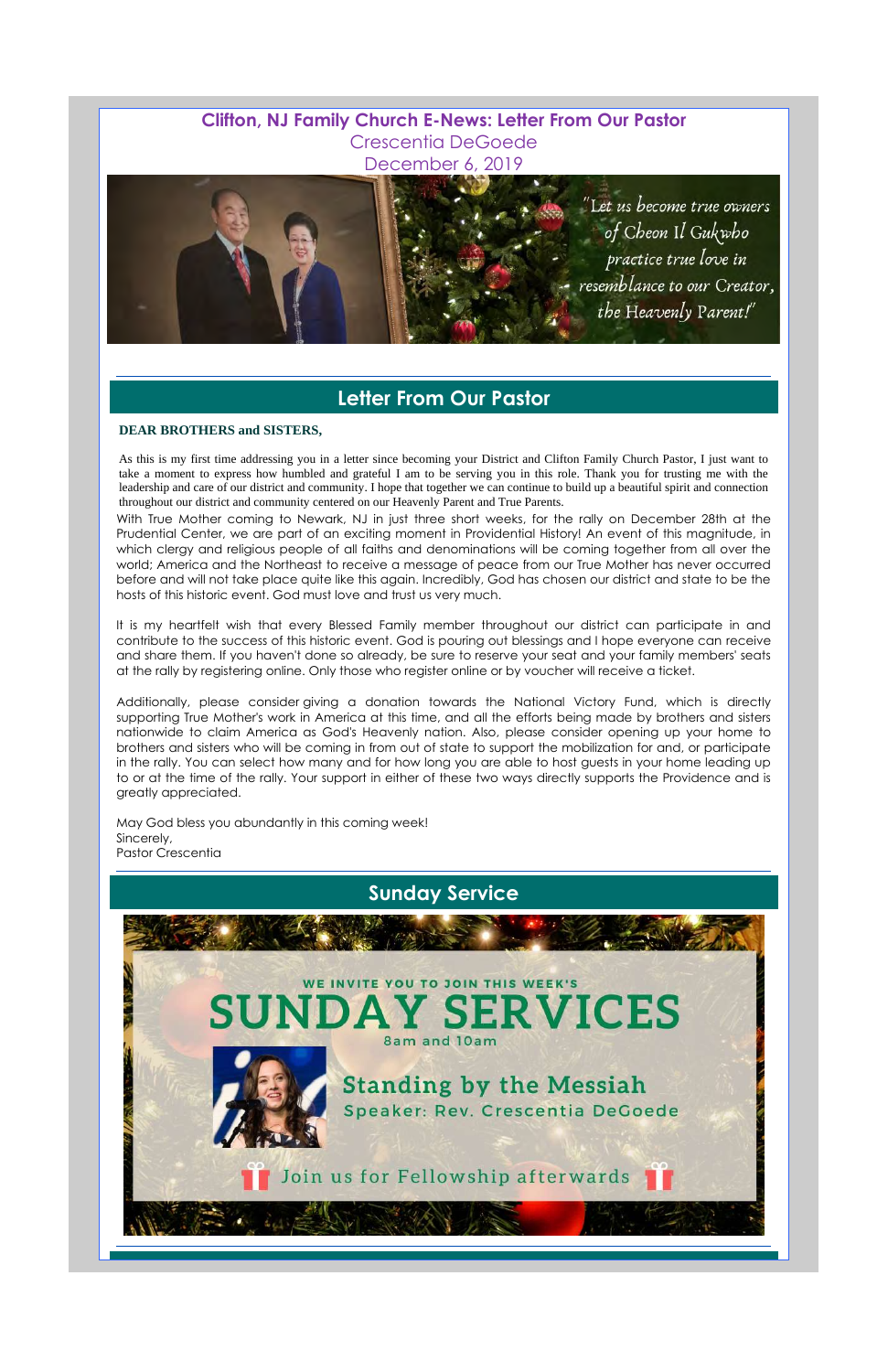## **Clifton, NJ Family Church E-News: Letter From Our Pastor** Crescentia DeGoede December 6, 2019



# **Letter From Our Pastor**

#### **DEAR BROTHERS and SISTERS,**

As this is my first time addressing you in a letter since becoming your District and Clifton Family Church Pastor, I just want to take a moment to express how humbled and grateful I am to be serving you in this role. Thank you for trusting me with the leadership and care of our district and community. I hope that together we can continue to build up a beautiful spirit and connection throughout our district and community centered on our Heavenly Parent and True Parents.

With True Mother coming to Newark, NJ in just three short weeks, for the rally on December 28th at the Prudential Center, we are part of an exciting moment in Providential History! An event of this magnitude, in which clergy and religious people of all faiths and denominations will be coming together from all over the world; America and the Northeast to receive a message of peace from our True Mother has never occurred before and will not take place quite like this again. Incredibly, God has chosen our district and state to be the hosts of this historic event. God must love and trust us very much.

It is my heartfelt wish that every Blessed Family member throughout our district can participate in and contribute to the success of this historic event. God is pouring out blessings and I hope everyone can receive and share them. If you haven't done so already, be sure to reserve your seat and your family members' seats at the rally by registering online. Only those who register online or by voucher will receive a ticket.

Additionally, please consider giving a donation towards the National Victory Fund, which is directly supporting True Mother's work in America at this time, and all the efforts being made by brothers and sisters nationwide to claim America as God's Heavenly nation. Also, please consider opening up your home to brothers and sisters who will be coming in from out of state to support the mobilization for and, or participate in the rally. You can select how many and for how long you are able to host guests in your home leading up to or at the time of the rally. Your support in either of these two ways directly supports the Providence and is greatly appreciated.

May God bless you abundantly in this coming week! Sincerely, Pastor Crescentia



#### SUNDA ERVICES 8am and 10am



**Standing by the Messiah** Speaker: Rev. Crescentia DeGoede

Join us for Fellowship afterwards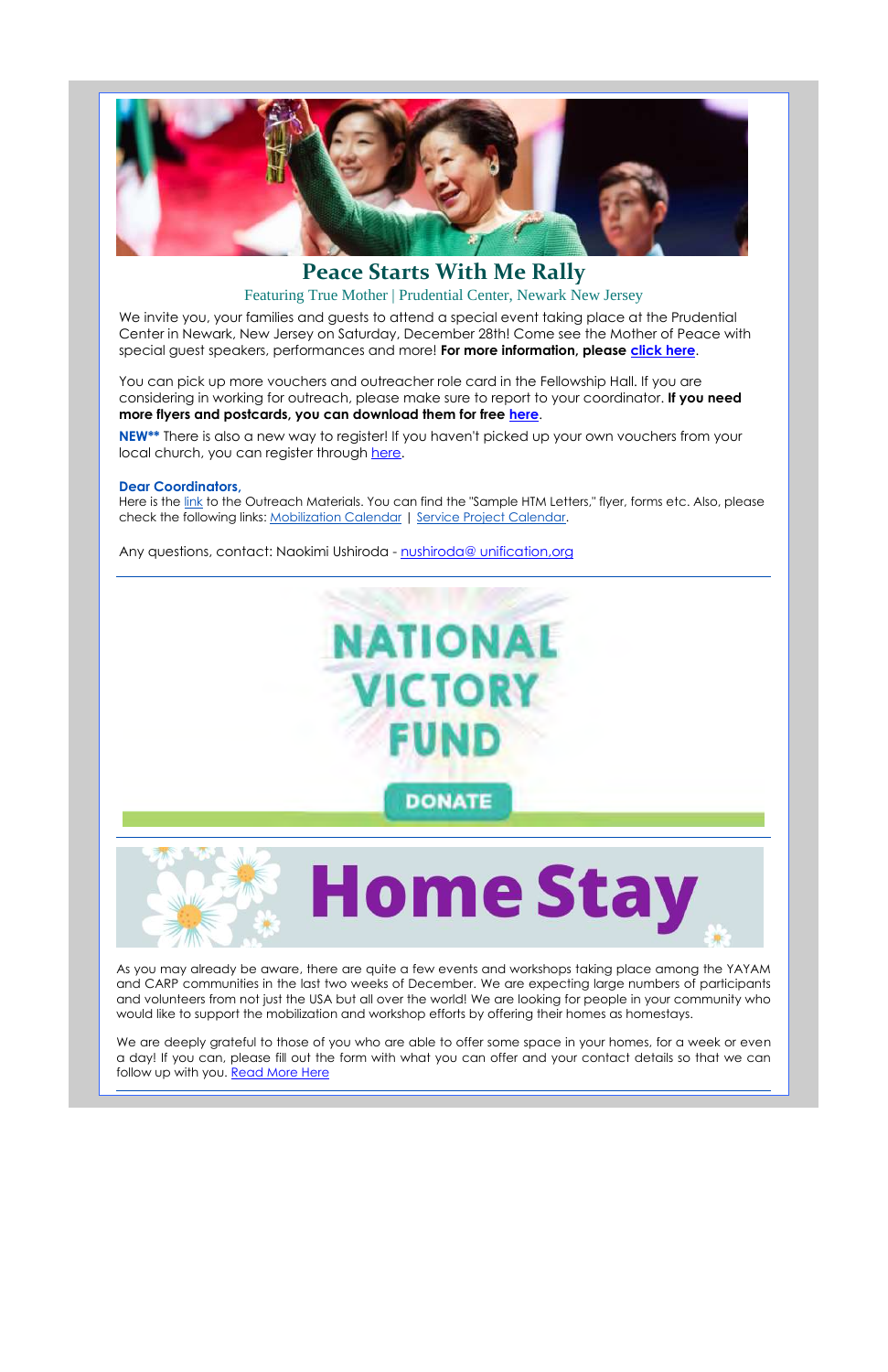

## **Peace Starts With Me Rally** Featuring True Mother | Prudential Center, Newark New Jersey

We invite you, your families and guests to attend a special event taking place at the Prudential Center in Newark, New Jersey on Saturday, December 28th! Come see the Mother of Peace with special guest speakers, performances and more! **For more information, please click here**.

**NEW\*\*** There is also a new way to register! If you haven't picked up your own vouchers from your local church, you can register through here.

Here is the link to the Outreach Materials. You can find the "Sample HTM Letters," flyer, forms etc. Also, please check the following links: Mobilization Calendar | Service Project Calendar.

Any questions, contact: Naokimi Ushiroda - nushiroda@ unification,org



You can pick up more vouchers and outreacher role card in the Fellowship Hall. If you are considering in working for outreach, please make sure to report to your coordinator. **If you need more flyers and postcards, you can download them for free here**.

#### **Dear Coordinators,**

As you may already be aware, there are quite a few events and workshops taking place among the YAYAM and CARP communities in the last two weeks of December. We are expecting large numbers of participants and volunteers from not just the USA but all over the world! We are looking for people in your community who

would like to support the mobilization and workshop efforts by offering their homes as homestays.

We are deeply grateful to those of you who are able to offer some space in your homes, for a week or even a day! If you can, please fill out the form with what you can offer and your contact details so that we can follow up with you. Read More Here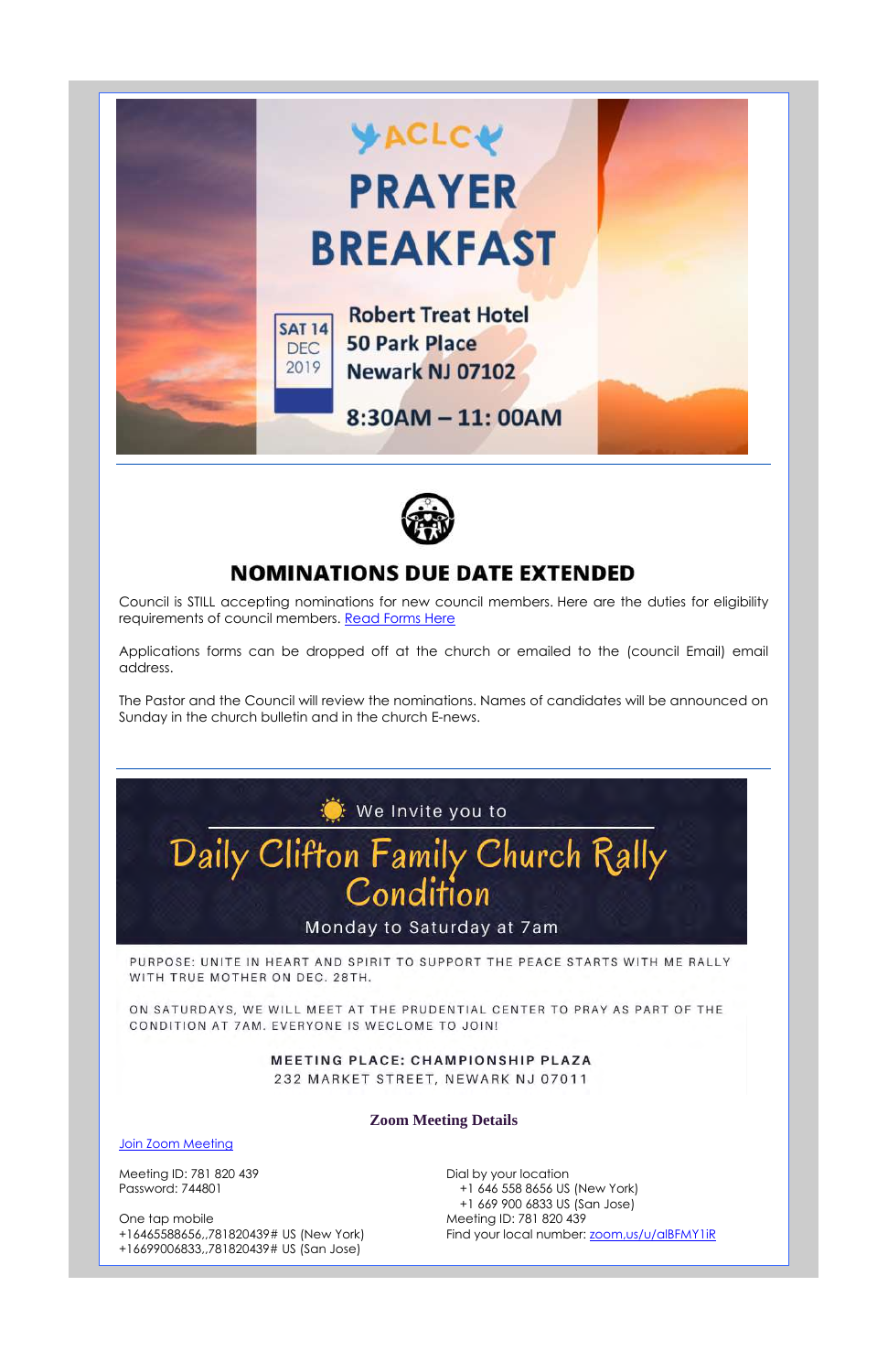



# **NOMINATIONS DUE DATE EXTENDED**

Council is STILL accepting nominations for new council members. Here are the duties for eligibility requirements of council members. Read Forms Here

Applications forms can be dropped off at the church or emailed to the (council Email) email address.

> Dial by your location +1 646 558 8656 US (New York) +1 669 900 6833 US (San Jose) Meeting ID: 781 820 439 Find your local number: zoom, us/u/alBFMY1iR

The Pastor and the Council will review the nominations. Names of candidates will be announced on Sunday in the church bulletin and in the church E-news.



WITH TRUE MOTHER ON DEC. 28TH.

ON SATURDAYS, WE WILL MEET AT THE PRUDENTIAL CENTER TO PRAY AS PART OF THE CONDITION AT 7AM. EVERYONE IS WECLOME TO JOIN!

> MEETING PLACE: CHAMPIONSHIP PLAZA 232 MARKET STREET, NEWARK NJ 07011

#### **Zoom Meeting Details**

#### Join Zoom Meeting

Meeting ID: 781 820 439 Password: 744801

One tap mobile +16465588656,,781820439# US (New York) +16699006833,,781820439# US (San Jose)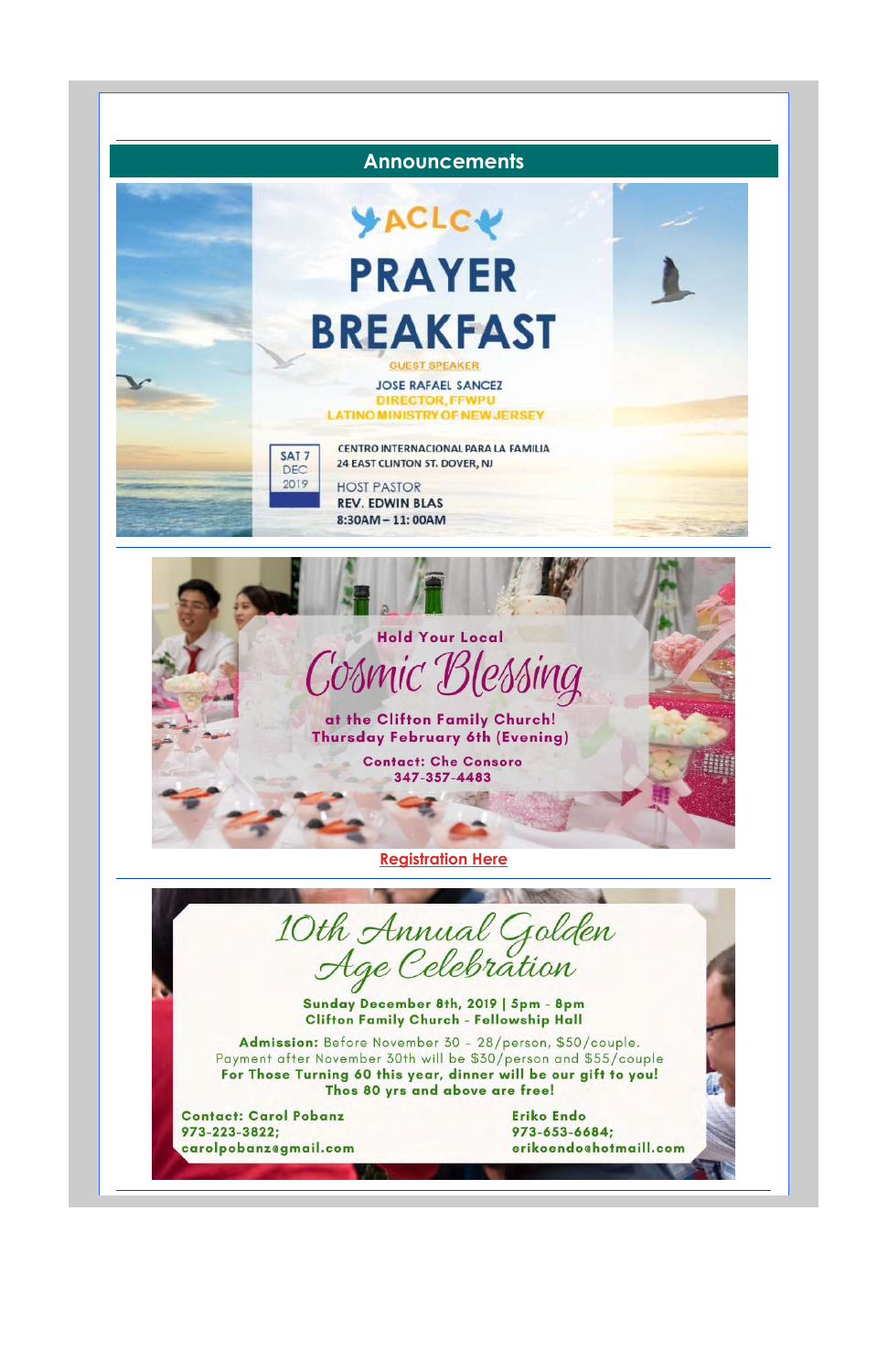

Sunday December 8th, 2019 | 5pm - 8pm

## **Clifton Family Church - Fellowship Hall**

Admission: Before November 30 - 28/person, \$50/couple. Payment after November 30th will be \$30/person and \$55/couple For Those Turning 60 this year, dinner will be our gift to you! Thos 80 yrs and above are free!

**Contact: Carol Pobanz** 973-223-3822; carolpobanzegmail.com **Eriko Endo** 973-653-6684; erikoendochotmaill.com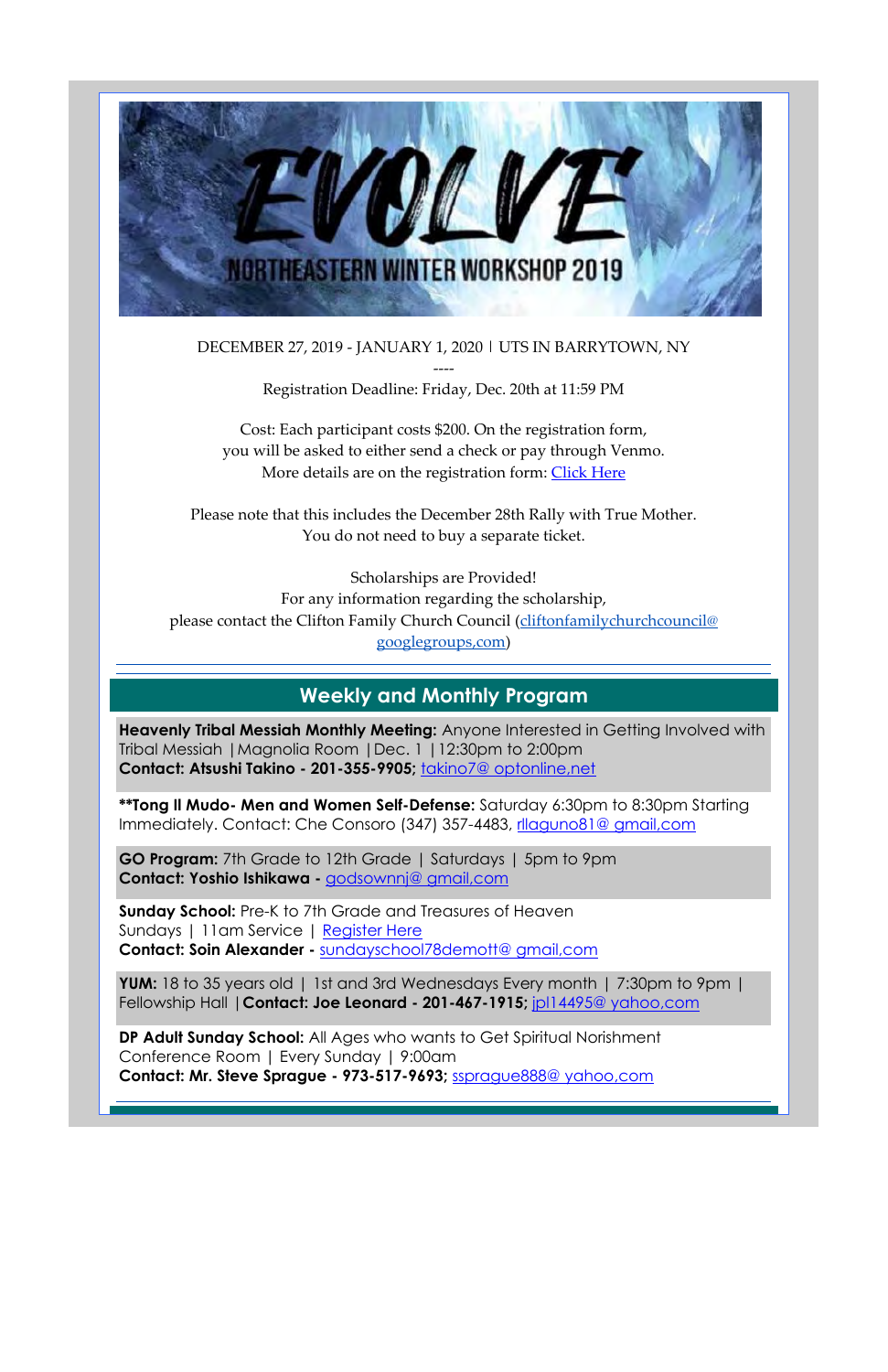

DECEMBER 27, 2019 - JANUARY 1, 2020 | UTS IN BARRYTOWN, NY

Cost: Each participant costs \$200. On the registration form, you will be asked to either send a check or pay through Venmo. More details are on the registration form: Click Here

---- Registration Deadline: Friday, Dec. 20th at 11:59 PM

Please note that this includes the December 28th Rally with True Mother. You do not need to buy a separate ticket.

**\*\*Tong Il Mudo- Men and Women Self-Defense:** Saturday 6:30pm to 8:30pm Starting Immediately. Contact: Che Consoro (347) 357-4483, rllaguno81@ gmail,com

Scholarships are Provided! For any information regarding the scholarship, please contact the Clifton Family Church Council (cliftonfamilychurchcouncil@ googlegroups,com)

# **Weekly and Monthly Program**

**Heavenly Tribal Messiah Monthly Meeting:** Anyone Interested in Getting Involved with Tribal Messiah |Magnolia Room |Dec. 1 |12:30pm to 2:00pm **Contact: Atsushi Takino - 201-355-9905;** takino7@ optonline,net

**GO Program:** 7th Grade to 12th Grade | Saturdays | 5pm to 9pm **Contact: Yoshio Ishikawa -** godsownnj@ gmail,com

**Sunday School:** Pre-K to 7th Grade and Treasures of Heaven Sundays | 11am Service | Register Here **Contact: Soin Alexander -** sundayschool78demott@ gmail,com

**YUM:** 18 to 35 years old | 1st and 3rd Wednesdays Every month | 7:30pm to 9pm | Fellowship Hall |**Contact: Joe Leonard - 201-467-1915;** jpl14495@ yahoo,com

**DP Adult Sunday School:** All Ages who wants to Get Spiritual Norishment Conference Room | Every Sunday | 9:00am **Contact: Mr. Steve Sprague - 973-517-9693;** ssprague888@ yahoo,com